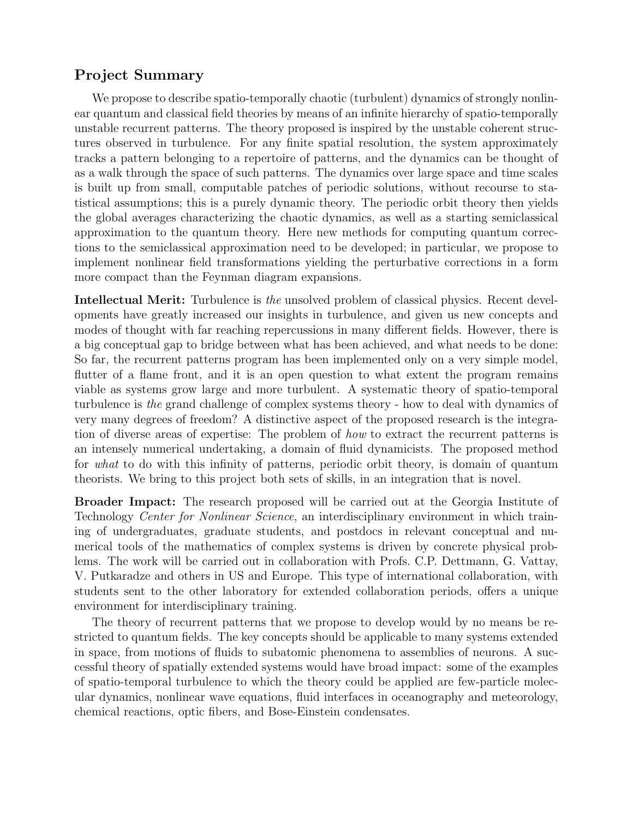# Project Summary

We propose to describe spatio-temporally chaotic (turbulent) dynamics of strongly nonlinear quantum and classical field theories by means of an infinite hierarchy of spatio-temporally unstable recurrent patterns. The theory proposed is inspired by the unstable coherent structures observed in turbulence. For any finite spatial resolution, the system approximately tracks a pattern belonging to a repertoire of patterns, and the dynamics can be thought of as a walk through the space of such patterns. The dynamics over large space and time scales is built up from small, computable patches of periodic solutions, without recourse to statistical assumptions; this is a purely dynamic theory. The periodic orbit theory then yields the global averages characterizing the chaotic dynamics, as well as a starting semiclassical approximation to the quantum theory. Here new methods for computing quantum corrections to the semiclassical approximation need to be developed; in particular, we propose to implement nonlinear field transformations yielding the perturbative corrections in a form more compact than the Feynman diagram expansions.

Intellectual Merit: Turbulence is the unsolved problem of classical physics. Recent developments have greatly increased our insights in turbulence, and given us new concepts and modes of thought with far reaching repercussions in many different fields. However, there is a big conceptual gap to bridge between what has been achieved, and what needs to be done: So far, the recurrent patterns program has been implemented only on a very simple model, flutter of a flame front, and it is an open question to what extent the program remains viable as systems grow large and more turbulent. A systematic theory of spatio-temporal turbulence is the grand challenge of complex systems theory - how to deal with dynamics of very many degrees of freedom? A distinctive aspect of the proposed research is the integration of diverse areas of expertise: The problem of how to extract the recurrent patterns is an intensely numerical undertaking, a domain of fluid dynamicists. The proposed method for what to do with this infinity of patterns, periodic orbit theory, is domain of quantum theorists. We bring to this project both sets of skills, in an integration that is novel.

Broader Impact: The research proposed will be carried out at the Georgia Institute of Technology Center for Nonlinear Science, an interdisciplinary environment in which training of undergraduates, graduate students, and postdocs in relevant conceptual and numerical tools of the mathematics of complex systems is driven by concrete physical problems. The work will be carried out in collaboration with Profs. C.P. Dettmann, G. Vattay, V. Putkaradze and others in US and Europe. This type of international collaboration, with students sent to the other laboratory for extended collaboration periods, offers a unique environment for interdisciplinary training.

The theory of recurrent patterns that we propose to develop would by no means be restricted to quantum fields. The key concepts should be applicable to many systems extended in space, from motions of fluids to subatomic phenomena to assemblies of neurons. A successful theory of spatially extended systems would have broad impact: some of the examples of spatio-temporal turbulence to which the theory could be applied are few-particle molecular dynamics, nonlinear wave equations, fluid interfaces in oceanography and meteorology, chemical reactions, optic fibers, and Bose-Einstein condensates.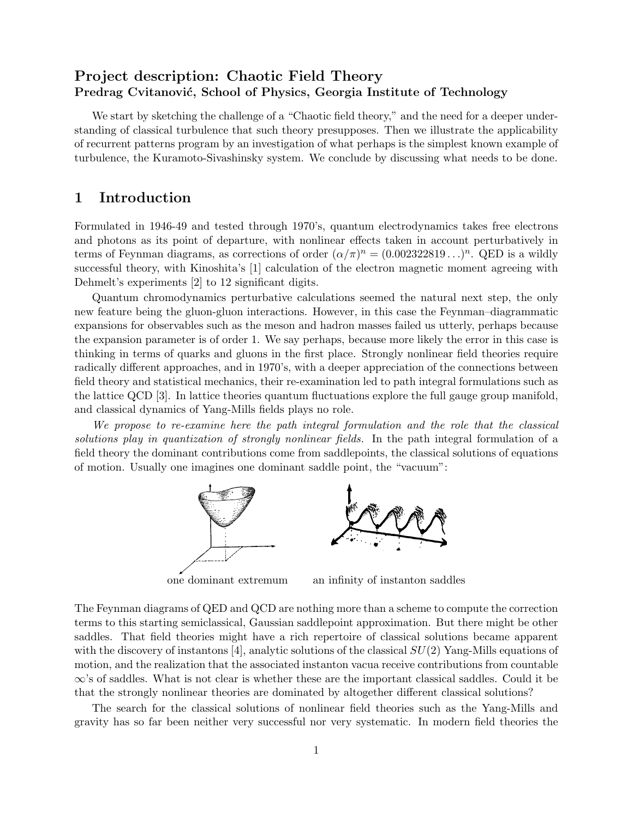# Project description: Chaotic Field Theory Predrag Cvitanović, School of Physics, Georgia Institute of Technology

We start by sketching the challenge of a "Chaotic field theory," and the need for a deeper understanding of classical turbulence that such theory presupposes. Then we illustrate the applicability of recurrent patterns program by an investigation of what perhaps is the simplest known example of turbulence, the Kuramoto-Sivashinsky system. We conclude by discussing what needs to be done.

# 1 Introduction

Formulated in 1946-49 and tested through 1970's, quantum electrodynamics takes free electrons and photons as its point of departure, with nonlinear effects taken in account perturbatively in terms of Feynman diagrams, as corrections of order  $(\alpha/\pi)^n = (0.002322819...)^n$ . QED is a wildly successful theory, with Kinoshita's [1] calculation of the electron magnetic moment agreeing with Dehmelt's experiments [2] to 12 significant digits.

Quantum chromodynamics perturbative calculations seemed the natural next step, the only new feature being the gluon-gluon interactions. However, in this case the Feynman–diagrammatic expansions for observables such as the meson and hadron masses failed us utterly, perhaps because the expansion parameter is of order 1. We say perhaps, because more likely the error in this case is thinking in terms of quarks and gluons in the first place. Strongly nonlinear field theories require radically different approaches, and in 1970's, with a deeper appreciation of the connections between field theory and statistical mechanics, their re-examination led to path integral formulations such as the lattice QCD [3]. In lattice theories quantum fluctuations explore the full gauge group manifold, and classical dynamics of Yang-Mills fields plays no role.

We propose to re-examine here the path integral formulation and the role that the classical solutions play in quantization of strongly nonlinear fields. In the path integral formulation of a field theory the dominant contributions come from saddlepoints, the classical solutions of equations of motion. Usually one imagines one dominant saddle point, the "vacuum":



one dominant extremum an infinity of instanton saddles

The Feynman diagrams of QED and QCD are nothing more than a scheme to compute the correction terms to this starting semiclassical, Gaussian saddlepoint approximation. But there might be other saddles. That field theories might have a rich repertoire of classical solutions became apparent with the discovery of instantons [4], analytic solutions of the classical  $SU(2)$  Yang-Mills equations of motion, and the realization that the associated instanton vacua receive contributions from countable ∞'s of saddles. What is not clear is whether these are the important classical saddles. Could it be that the strongly nonlinear theories are dominated by altogether different classical solutions?

The search for the classical solutions of nonlinear field theories such as the Yang-Mills and gravity has so far been neither very successful nor very systematic. In modern field theories the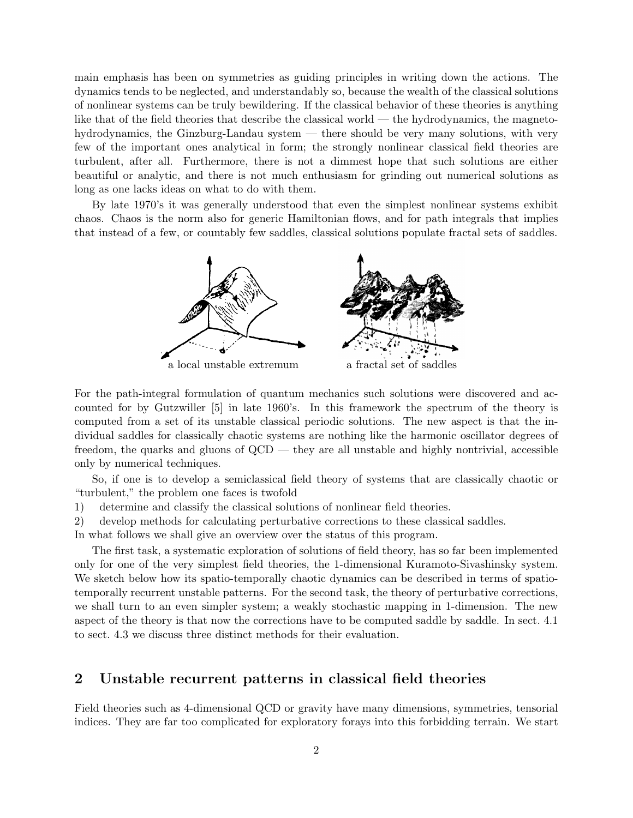main emphasis has been on symmetries as guiding principles in writing down the actions. The dynamics tends to be neglected, and understandably so, because the wealth of the classical solutions of nonlinear systems can be truly bewildering. If the classical behavior of these theories is anything like that of the field theories that describe the classical world — the hydrodynamics, the magnetohydrodynamics, the Ginzburg-Landau system — there should be very many solutions, with very few of the important ones analytical in form; the strongly nonlinear classical field theories are turbulent, after all. Furthermore, there is not a dimmest hope that such solutions are either beautiful or analytic, and there is not much enthusiasm for grinding out numerical solutions as long as one lacks ideas on what to do with them.

By late 1970's it was generally understood that even the simplest nonlinear systems exhibit chaos. Chaos is the norm also for generic Hamiltonian flows, and for path integrals that implies that instead of a few, or countably few saddles, classical solutions populate fractal sets of saddles.



For the path-integral formulation of quantum mechanics such solutions were discovered and accounted for by Gutzwiller [5] in late 1960's. In this framework the spectrum of the theory is computed from a set of its unstable classical periodic solutions. The new aspect is that the individual saddles for classically chaotic systems are nothing like the harmonic oscillator degrees of freedom, the quarks and gluons of QCD — they are all unstable and highly nontrivial, accessible only by numerical techniques.

So, if one is to develop a semiclassical field theory of systems that are classically chaotic or "turbulent," the problem one faces is twofold

- 1) determine and classify the classical solutions of nonlinear field theories.
- 2) develop methods for calculating perturbative corrections to these classical saddles.

In what follows we shall give an overview over the status of this program.

The first task, a systematic exploration of solutions of field theory, has so far been implemented only for one of the very simplest field theories, the 1-dimensional Kuramoto-Sivashinsky system. We sketch below how its spatio-temporally chaotic dynamics can be described in terms of spatiotemporally recurrent unstable patterns. For the second task, the theory of perturbative corrections, we shall turn to an even simpler system; a weakly stochastic mapping in 1-dimension. The new aspect of the theory is that now the corrections have to be computed saddle by saddle. In sect. 4.1 to sect. 4.3 we discuss three distinct methods for their evaluation.

### 2 Unstable recurrent patterns in classical field theories

Field theories such as 4-dimensional QCD or gravity have many dimensions, symmetries, tensorial indices. They are far too complicated for exploratory forays into this forbidding terrain. We start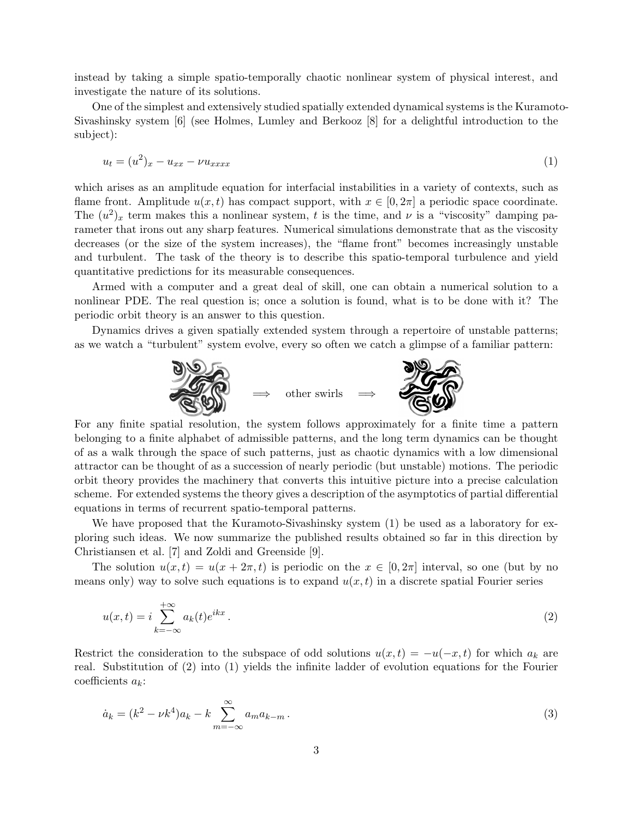instead by taking a simple spatio-temporally chaotic nonlinear system of physical interest, and investigate the nature of its solutions.

One of the simplest and extensively studied spatially extended dynamical systems is the Kuramoto-Sivashinsky system [6] (see Holmes, Lumley and Berkooz [8] for a delightful introduction to the subject):

$$
u_t = (u^2)_x - u_{xx} - \nu u_{xxxx} \tag{1}
$$

which arises as an amplitude equation for interfacial instabilities in a variety of contexts, such as flame front. Amplitude  $u(x, t)$  has compact support, with  $x \in [0, 2\pi]$  a periodic space coordinate. The  $(u^2)_x$  term makes this a nonlinear system, t is the time, and  $\nu$  is a "viscosity" damping parameter that irons out any sharp features. Numerical simulations demonstrate that as the viscosity decreases (or the size of the system increases), the "flame front" becomes increasingly unstable and turbulent. The task of the theory is to describe this spatio-temporal turbulence and yield quantitative predictions for its measurable consequences.

Armed with a computer and a great deal of skill, one can obtain a numerical solution to a nonlinear PDE. The real question is; once a solution is found, what is to be done with it? The periodic orbit theory is an answer to this question.

Dynamics drives a given spatially extended system through a repertoire of unstable patterns; as we watch a "turbulent" system evolve, every so often we catch a glimpse of a familiar pattern:



For any finite spatial resolution, the system follows approximately for a finite time a pattern belonging to a finite alphabet of admissible patterns, and the long term dynamics can be thought of as a walk through the space of such patterns, just as chaotic dynamics with a low dimensional attractor can be thought of as a succession of nearly periodic (but unstable) motions. The periodic orbit theory provides the machinery that converts this intuitive picture into a precise calculation scheme. For extended systems the theory gives a description of the asymptotics of partial differential equations in terms of recurrent spatio-temporal patterns.

We have proposed that the Kuramoto-Sivashinsky system (1) be used as a laboratory for exploring such ideas. We now summarize the published results obtained so far in this direction by Christiansen et al. [7] and Zoldi and Greenside [9].

The solution  $u(x, t) = u(x + 2\pi, t)$  is periodic on the  $x \in [0, 2\pi]$  interval, so one (but by no means only) way to solve such equations is to expand  $u(x, t)$  in a discrete spatial Fourier series

$$
u(x,t) = i \sum_{k=-\infty}^{+\infty} a_k(t) e^{ikx} . \tag{2}
$$

Restrict the consideration to the subspace of odd solutions  $u(x,t) = -u(-x,t)$  for which  $a_k$  are real. Substitution of (2) into (1) yields the infinite ladder of evolution equations for the Fourier coefficients  $a_k$ :

$$
\dot{a}_k = (k^2 - \nu k^4) a_k - k \sum_{m = -\infty}^{\infty} a_m a_{k-m} \,. \tag{3}
$$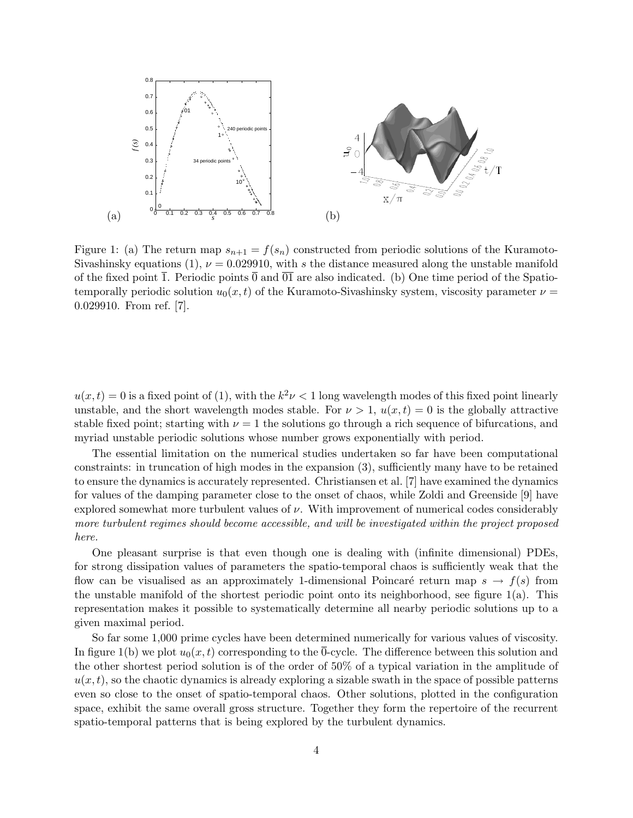

Figure 1: (a) The return map  $s_{n+1} = f(s_n)$  constructed from periodic solutions of the Kuramoto-Sivashinsky equations (1),  $\nu = 0.029910$ , with s the distance measured along the unstable manifold of the fixed point  $\overline{1}$ . Periodic points  $\overline{0}$  and  $\overline{0}\overline{1}$  are also indicated. (b) One time period of the Spatiotemporally periodic solution  $u_0(x, t)$  of the Kuramoto-Sivashinsky system, viscosity parameter  $\nu =$ 0.029910. From ref. [7].

 $u(x,t) = 0$  is a fixed point of (1), with the  $k^2 \nu < 1$  long wavelength modes of this fixed point linearly unstable, and the short wavelength modes stable. For  $\nu > 1$ ,  $u(x, t) = 0$  is the globally attractive stable fixed point; starting with  $\nu = 1$  the solutions go through a rich sequence of bifurcations, and myriad unstable periodic solutions whose number grows exponentially with period.

The essential limitation on the numerical studies undertaken so far have been computational constraints: in truncation of high modes in the expansion (3), sufficiently many have to be retained to ensure the dynamics is accurately represented. Christiansen et al. [7] have examined the dynamics for values of the damping parameter close to the onset of chaos, while Zoldi and Greenside [9] have explored somewhat more turbulent values of  $\nu$ . With improvement of numerical codes considerably more turbulent regimes should become accessible, and will be investigated within the project proposed here.

One pleasant surprise is that even though one is dealing with (infinite dimensional) PDEs, for strong dissipation values of parameters the spatio-temporal chaos is sufficiently weak that the flow can be visualised as an approximately 1-dimensional Poincaré return map  $s \to f(s)$  from the unstable manifold of the shortest periodic point onto its neighborhood, see figure 1(a). This representation makes it possible to systematically determine all nearby periodic solutions up to a given maximal period.

So far some 1,000 prime cycles have been determined numerically for various values of viscosity. In figure 1(b) we plot  $u_0(x, t)$  corresponding to the 0-cycle. The difference between this solution and the other shortest period solution is of the order of 50% of a typical variation in the amplitude of  $u(x, t)$ , so the chaotic dynamics is already exploring a sizable swath in the space of possible patterns even so close to the onset of spatio-temporal chaos. Other solutions, plotted in the configuration space, exhibit the same overall gross structure. Together they form the repertoire of the recurrent spatio-temporal patterns that is being explored by the turbulent dynamics.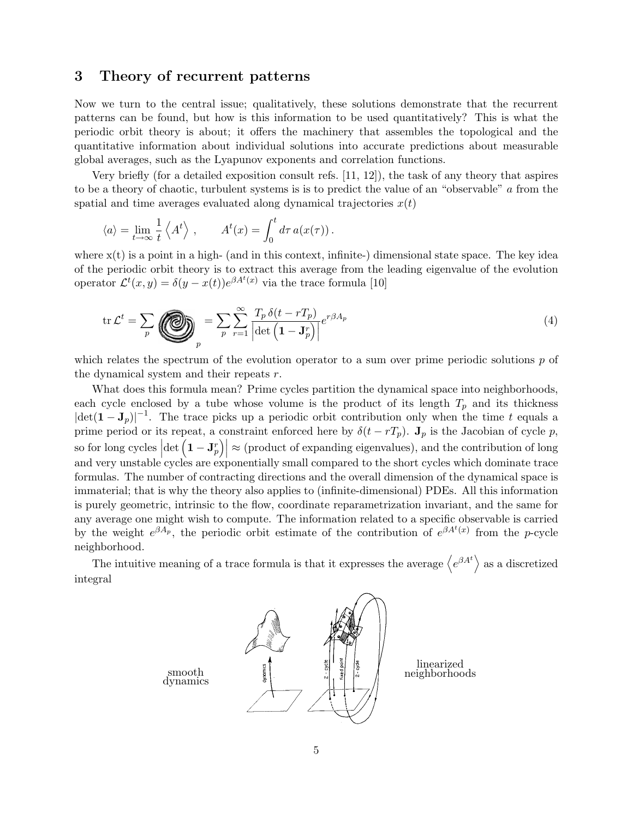### 3 Theory of recurrent patterns

Now we turn to the central issue; qualitatively, these solutions demonstrate that the recurrent patterns can be found, but how is this information to be used quantitatively? This is what the periodic orbit theory is about; it offers the machinery that assembles the topological and the quantitative information about individual solutions into accurate predictions about measurable global averages, such as the Lyapunov exponents and correlation functions.

Very briefly (for a detailed exposition consult refs. [11, 12]), the task of any theory that aspires to be a theory of chaotic, turbulent systems is is to predict the value of an "observable" a from the spatial and time averages evaluated along dynamical trajectories  $x(t)$ 

$$
\langle a \rangle = \lim_{t \to \infty} \frac{1}{t} \left\langle A^t \right\rangle, \qquad A^t(x) = \int_0^t d\tau \, a(x(\tau)).
$$

where  $x(t)$  is a point in a high- (and in this context, infinite-) dimensional state space. The key idea of the periodic orbit theory is to extract this average from the leading eigenvalue of the evolution operator  $\mathcal{L}^t(x, y) = \delta(y - x(t))e^{\beta A^t(x)}$  via the trace formula [10]

$$
\operatorname{tr}\mathcal{L}^t = \sum_p \left( \sum_p \right)^{n} = \sum_p \sum_{r=1}^{\infty} \frac{T_p \,\delta(t - rT_p)}{\left| \det \left( \mathbf{1} - \mathbf{J}_p^r \right) \right|} e^{r\beta A_p} \tag{4}
$$

which relates the spectrum of the evolution operator to a sum over prime periodic solutions  $p$  of the dynamical system and their repeats r.

What does this formula mean? Prime cycles partition the dynamical space into neighborhoods, each cycle enclosed by a tube whose volume is the product of its length  $T_p$  and its thickness  $|\det(\mathbf{1}-\mathbf{J}_p)|^{-1}$ . The trace picks up a periodic orbit contribution only when the time t equals a prime period or its repeat, a constraint enforced here by  $\delta(t - rT_p)$ .  $J_p$  is the Jacobian of cycle p, so for long cycles  $\left|\det\left(\mathbf{1}-\mathbf{J}_p^r\right)\right| \approx \text{(product of expanding eigenvalues)},$  and the contribution of long and very unstable cycles are exponentially small compared to the short cycles which dominate trace formulas. The number of contracting directions and the overall dimension of the dynamical space is immaterial; that is why the theory also applies to (infinite-dimensional) PDEs. All this information is purely geometric, intrinsic to the flow, coordinate reparametrization invariant, and the same for any average one might wish to compute. The information related to a specific observable is carried by the weight  $e^{\beta A_p}$ , the periodic orbit estimate of the contribution of  $e^{\beta A^t(x)}$  from the p-cycle neighborhood.

The intuitive meaning of a trace formula is that it expresses the average  $\langle e^{\beta A^t} \rangle$  as a discretized integral

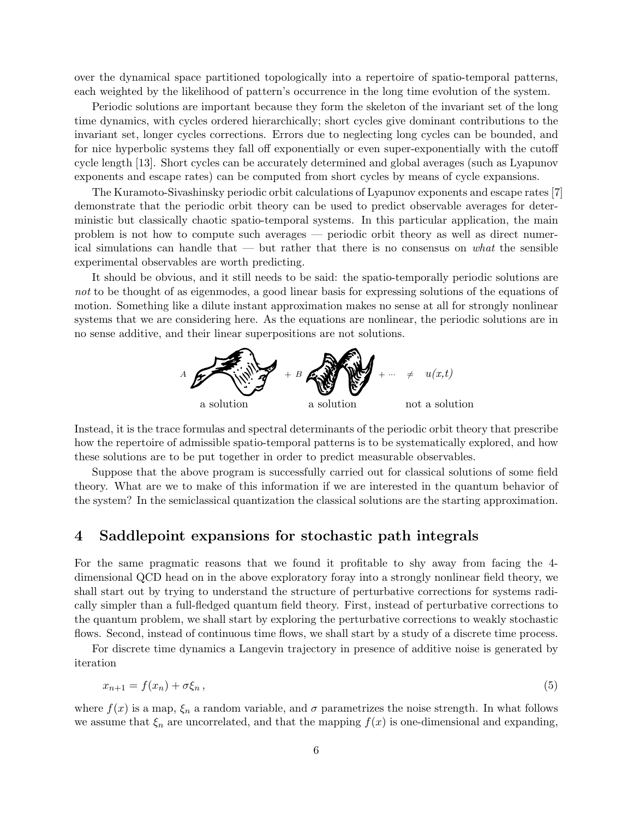over the dynamical space partitioned topologically into a repertoire of spatio-temporal patterns, each weighted by the likelihood of pattern's occurrence in the long time evolution of the system.

Periodic solutions are important because they form the skeleton of the invariant set of the long time dynamics, with cycles ordered hierarchically; short cycles give dominant contributions to the invariant set, longer cycles corrections. Errors due to neglecting long cycles can be bounded, and for nice hyperbolic systems they fall off exponentially or even super-exponentially with the cutoff cycle length [13]. Short cycles can be accurately determined and global averages (such as Lyapunov exponents and escape rates) can be computed from short cycles by means of cycle expansions.

The Kuramoto-Sivashinsky periodic orbit calculations of Lyapunov exponents and escape rates [7] demonstrate that the periodic orbit theory can be used to predict observable averages for deterministic but classically chaotic spatio-temporal systems. In this particular application, the main problem is not how to compute such averages — periodic orbit theory as well as direct numerical simulations can handle that — but rather that there is no consensus on what the sensible experimental observables are worth predicting.

It should be obvious, and it still needs to be said: the spatio-temporally periodic solutions are not to be thought of as eigenmodes, a good linear basis for expressing solutions of the equations of motion. Something like a dilute instant approximation makes no sense at all for strongly nonlinear systems that we are considering here. As the equations are nonlinear, the periodic solutions are in no sense additive, and their linear superpositions are not solutions.



Instead, it is the trace formulas and spectral determinants of the periodic orbit theory that prescribe how the repertoire of admissible spatio-temporal patterns is to be systematically explored, and how these solutions are to be put together in order to predict measurable observables.

Suppose that the above program is successfully carried out for classical solutions of some field theory. What are we to make of this information if we are interested in the quantum behavior of the system? In the semiclassical quantization the classical solutions are the starting approximation.

# 4 Saddlepoint expansions for stochastic path integrals

For the same pragmatic reasons that we found it profitable to shy away from facing the 4 dimensional QCD head on in the above exploratory foray into a strongly nonlinear field theory, we shall start out by trying to understand the structure of perturbative corrections for systems radically simpler than a full-fledged quantum field theory. First, instead of perturbative corrections to the quantum problem, we shall start by exploring the perturbative corrections to weakly stochastic flows. Second, instead of continuous time flows, we shall start by a study of a discrete time process.

For discrete time dynamics a Langevin trajectory in presence of additive noise is generated by iteration

$$
x_{n+1} = f(x_n) + \sigma \xi_n \,,\tag{5}
$$

where  $f(x)$  is a map,  $\xi_n$  a random variable, and  $\sigma$  parametrizes the noise strength. In what follows we assume that  $\xi_n$  are uncorrelated, and that the mapping  $f(x)$  is one-dimensional and expanding,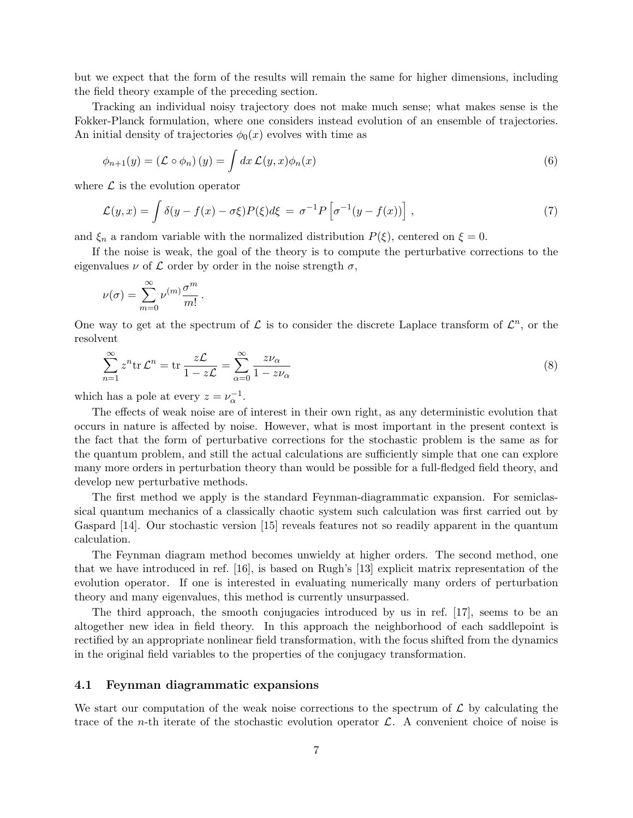but we expect that the form of the results will remain the same for higher dimensions, including the field theory example of the preceding section.

Tracking an individual noisy trajectory does not make much sense; what makes sense is the Fokker-Planck formulation, where one considers instead evolution of an ensemble of trajectories. An initial density of trajectories  $\phi_0(x)$  evolves with time as

$$
\phi_{n+1}(y) = (\mathcal{L} \circ \phi_n)(y) = \int dx \, \mathcal{L}(y, x)\phi_n(x) \tag{6}
$$

where  $\mathcal L$  is the evolution operator

$$
\mathcal{L}(y,x) = \int \delta(y - f(x) - \sigma\xi) P(\xi) d\xi = \sigma^{-1} P \left[ \sigma^{-1} (y - f(x)) \right], \tag{7}
$$

and  $\xi_n$  a random variable with the normalized distribution  $P(\xi)$ , centered on  $\xi = 0$ .

If the noise is weak, the goal of the theory is to compute the perturbative corrections to the eigenvalues  $\nu$  of  $\mathcal L$  order by order in the noise strength  $\sigma$ ,

$$
\nu(\sigma) = \sum_{m=0}^{\infty} \nu^{(m)} \frac{\sigma^m}{m!}.
$$

One way to get at the spectrum of  $\mathcal L$  is to consider the discrete Laplace transform of  $\mathcal L^n$ , or the resolvent

$$
\sum_{n=1}^{\infty} z^n \text{tr} \mathcal{L}^n = \text{tr} \frac{z \mathcal{L}}{1 - z \mathcal{L}} = \sum_{\alpha=0}^{\infty} \frac{z \nu_{\alpha}}{1 - z \nu_{\alpha}}
$$
(8)

which has a pole at every  $z = \nu_{\alpha}^{-1}$ .

The effects of weak noise are of interest in their own right, as any deterministic evolution that occurs in nature is affected by noise. However, what is most important in the present context is the fact that the form of perturbative corrections for the stochastic problem is the same as for the quantum problem, and still the actual calculations are sufficiently simple that one can explore many more orders in perturbation theory than would be possible for a full-fledged field theory, and develop new perturbative methods.

The first method we apply is the standard Feynman-diagrammatic expansion. For semiclassical quantum mechanics of a classically chaotic system such calculation was first carried out by Gaspard [14]. Our stochastic version [15] reveals features not so readily apparent in the quantum calculation.

The Feynman diagram method becomes unwieldy at higher orders. The second method, one that we have introduced in ref. [16], is based on Rugh's [13] explicit matrix representation of the evolution operator. If one is interested in evaluating numerically many orders of perturbation theory and many eigenvalues, this method is currently unsurpassed.

The third approach, the smooth conjugacies introduced by us in ref. [17], seems to be an altogether new idea in field theory. In this approach the neighborhood of each saddlepoint is rectified by an appropriate nonlinear field transformation, with the focus shifted from the dynamics in the original field variables to the properties of the conjugacy transformation.

#### 4.1 Feynman diagrammatic expansions

We start our computation of the weak noise corrections to the spectrum of  $\mathcal L$  by calculating the trace of the *n*-th iterate of the stochastic evolution operator  $\mathcal{L}$ . A convenient choice of noise is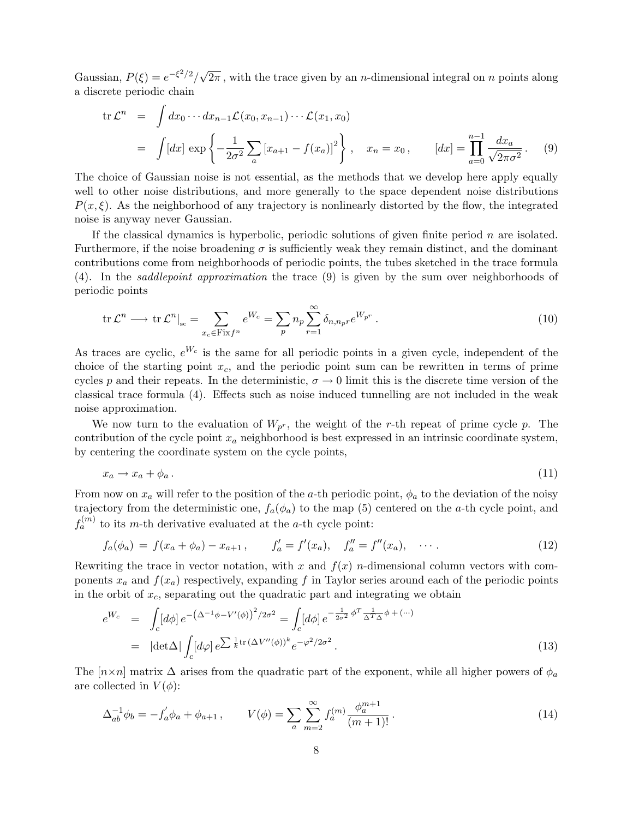Gaussian,  $P(\xi) = e^{-\xi^2/2}/\sqrt{2\pi}$ , with the trace given by an *n*-dimensional integral on *n* points along a discrete periodic chain

$$
\text{tr}\,\mathcal{L}^n = \int dx_0 \cdots dx_{n-1} \mathcal{L}(x_0, x_{n-1}) \cdots \mathcal{L}(x_1, x_0)
$$
\n
$$
= \int [dx] \exp \left\{ -\frac{1}{2\sigma^2} \sum_a \left[ x_{a+1} - f(x_a) \right]^2 \right\}, \quad x_n = x_0, \qquad [dx] = \prod_{a=0}^{n-1} \frac{dx_a}{\sqrt{2\pi\sigma^2}}. \tag{9}
$$

The choice of Gaussian noise is not essential, as the methods that we develop here apply equally well to other noise distributions, and more generally to the space dependent noise distributions  $P(x,\xi)$ . As the neighborhood of any trajectory is nonlinearly distorted by the flow, the integrated noise is anyway never Gaussian.

If the classical dynamics is hyperbolic, periodic solutions of given finite period  $n$  are isolated. Furthermore, if the noise broadening  $\sigma$  is sufficiently weak they remain distinct, and the dominant contributions come from neighborhoods of periodic points, the tubes sketched in the trace formula (4). In the saddlepoint approximation the trace (9) is given by the sum over neighborhoods of periodic points

$$
\operatorname{tr}\mathcal{L}^n \longrightarrow \operatorname{tr}\mathcal{L}^n|_{\mathrm{sc}} = \sum_{x_c \in \operatorname{Fix} f^n} e^{W_c} = \sum_p n_p \sum_{r=1}^{\infty} \delta_{n,n_p r} e^{W_{p^r}}.
$$
 (10)

As traces are cyclic,  $e^{W_c}$  is the same for all periodic points in a given cycle, independent of the choice of the starting point  $x_c$ , and the periodic point sum can be rewritten in terms of prime cycles p and their repeats. In the deterministic,  $\sigma \to 0$  limit this is the discrete time version of the classical trace formula (4). Effects such as noise induced tunnelling are not included in the weak noise approximation.

We now turn to the evaluation of  $W_{p^r}$ , the weight of the r-th repeat of prime cycle p. The contribution of the cycle point  $x_a$  neighborhood is best expressed in an intrinsic coordinate system, by centering the coordinate system on the cycle points,

$$
x_a \to x_a + \phi_a \,. \tag{11}
$$

From now on  $x_a$  will refer to the position of the a-th periodic point,  $\phi_a$  to the deviation of the noisy trajectory from the deterministic one,  $f_a(\phi_a)$  to the map (5) centered on the a-th cycle point, and  $f_a^{(m)}$  to its m-th derivative evaluated at the a-th cycle point:

$$
f_a(\phi_a) = f(x_a + \phi_a) - x_{a+1}, \qquad f'_a = f'(x_a), \quad f''_a = f''(x_a), \quad \cdots.
$$
 (12)

Rewriting the trace in vector notation, with x and  $f(x)$  n-dimensional column vectors with components  $x_a$  and  $f(x_a)$  respectively, expanding f in Taylor series around each of the periodic points in the orbit of  $x_c$ , separating out the quadratic part and integrating we obtain

$$
e^{W_c} = \int_c [d\phi] e^{-\left(\Delta^{-1}\phi - V'(\phi)\right)^2/2\sigma^2} = \int_c [d\phi] e^{-\frac{1}{2\sigma^2}\phi^T \frac{1}{\Delta^T \Delta} \phi + (\cdots)}
$$
  
=  $|\det \Delta| \int_c [d\varphi] e^{\sum \frac{1}{k} \text{tr}(\Delta V''(\phi))^k} e^{-\varphi^2/2\sigma^2}.$  (13)

The  $[n \times n]$  matrix  $\Delta$  arises from the quadratic part of the exponent, while all higher powers of  $\phi_a$ are collected in  $V(\phi)$ :

$$
\Delta_{ab}^{-1} \phi_b = -f'_a \phi_a + \phi_{a+1} , \qquad V(\phi) = \sum_a \sum_{m=2}^{\infty} f_a^{(m)} \frac{\phi_a^{m+1}}{(m+1)!} . \tag{14}
$$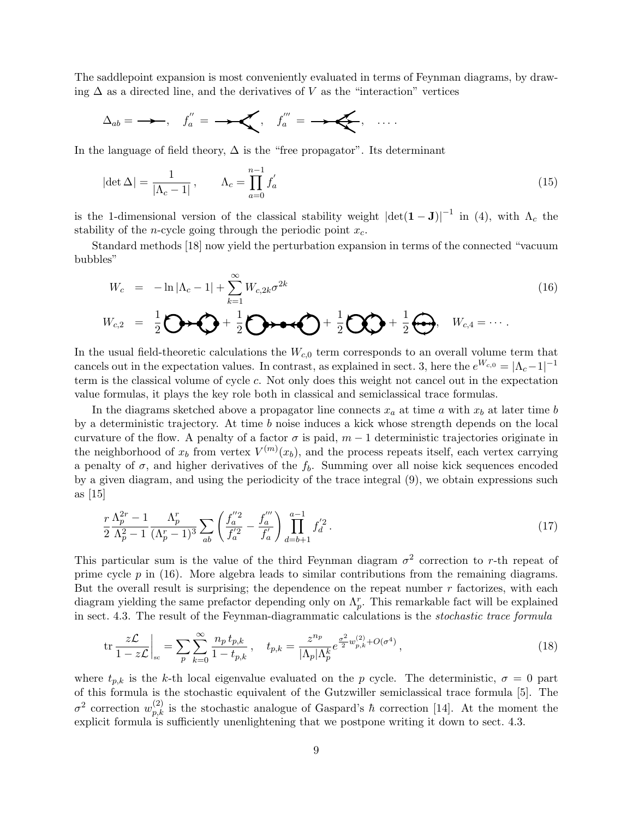The saddlepoint expansion is most conveniently evaluated in terms of Feynman diagrams, by drawing  $\Delta$  as a directed line, and the derivatives of V as the "interaction" vertices

$$
\Delta_{ab} = \longrightarrow, \quad f''_a = \longrightarrow, \quad f'''_a = \longrightarrow, \quad \ldots
$$

In the language of field theory,  $\Delta$  is the "free propagator". Its determinant

$$
|\det \Delta| = \frac{1}{|\Lambda_c - 1|}, \qquad \Lambda_c = \prod_{a=0}^{n-1} f'_a \tag{15}
$$

is the 1-dimensional version of the classical stability weight  $|\text{det}(\mathbf{1}-\mathbf{J})|^{-1}$  in (4), with  $\Lambda_c$  the stability of the *n*-cycle going through the periodic point  $x_c$ .

Standard methods [18] now yield the perturbation expansion in terms of the connected "vacuum bubbles"

$$
W_c = -\ln|\Lambda_c - 1| + \sum_{k=1}^{\infty} W_{c,2k} \sigma^{2k}
$$
  
\n
$$
W_{c,2} = \frac{1}{2} \bigodot \rightarrow \bigodot + \frac{1}{2} \bigodot \rightarrow \bullet \rightarrow \bigodot + \frac{1}{2} \bigodot + \frac{1}{2} \bigodot, \quad W_{c,4} = \cdots
$$
 (16)

In the usual field-theoretic calculations the  $W_{c,0}$  term corresponds to an overall volume term that cancels out in the expectation values. In contrast, as explained in sect. 3, here the  $e^{W_{c,0}} = |\Lambda_c - 1|^{-1}$ term is the classical volume of cycle c. Not only does this weight not cancel out in the expectation value formulas, it plays the key role both in classical and semiclassical trace formulas.

In the diagrams sketched above a propagator line connects  $x_a$  at time a with  $x_b$  at later time b by a deterministic trajectory. At time b noise induces a kick whose strength depends on the local curvature of the flow. A penalty of a factor  $\sigma$  is paid,  $m-1$  deterministic trajectories originate in the neighborhood of  $x_b$  from vertex  $V^{(m)}(x_b)$ , and the process repeats itself, each vertex carrying a penalty of  $\sigma$ , and higher derivatives of the  $f_b$ . Summing over all noise kick sequences encoded by a given diagram, and using the periodicity of the trace integral (9), we obtain expressions such as [15]

$$
\frac{r}{2} \frac{\Lambda_p^{2r} - 1}{\Lambda_p^2 - 1} \frac{\Lambda_p^r}{(\Lambda_p^r - 1)^3} \sum_{ab} \left( \frac{f_a^{"2}}{f_a^{'2}} - \frac{f_a^{"n}}{f_a'} \right) \prod_{d=b+1}^{a-1} f_d^{'2}.
$$
\n(17)

This particular sum is the value of the third Feynman diagram  $\sigma^2$  correction to r-th repeat of prime cycle  $p$  in (16). More algebra leads to similar contributions from the remaining diagrams. But the overall result is surprising; the dependence on the repeat number r factorizes, with each diagram yielding the same prefactor depending only on  $\Lambda_p^r$ . This remarkable fact will be explained in sect. 4.3. The result of the Feynman-diagrammatic calculations is the stochastic trace formula

$$
\text{tr}\,\frac{z\mathcal{L}}{1-z\mathcal{L}}\bigg|_{\text{sc}} = \sum_{p} \sum_{k=0}^{\infty} \frac{n_p \, t_{p,k}}{1-t_{p,k}}, \quad t_{p,k} = \frac{z^{n_p}}{|\Lambda_p|\Lambda_p^k} e^{\frac{\sigma^2}{2}w_{p,k}^{(2)} + O(\sigma^4)},\tag{18}
$$

where  $t_{p,k}$  is the k-th local eigenvalue evaluated on the p cycle. The deterministic,  $\sigma = 0$  part of this formula is the stochastic equivalent of the Gutzwiller semiclassical trace formula [5]. The  $σ<sup>2</sup>$  correction  $w_{p,k}^{(2)}$  is the stochastic analogue of Gaspard's  $\hbar$  correction [14]. At the moment the explicit formula is sufficiently unenlightening that we postpone writing it down to sect. 4.3.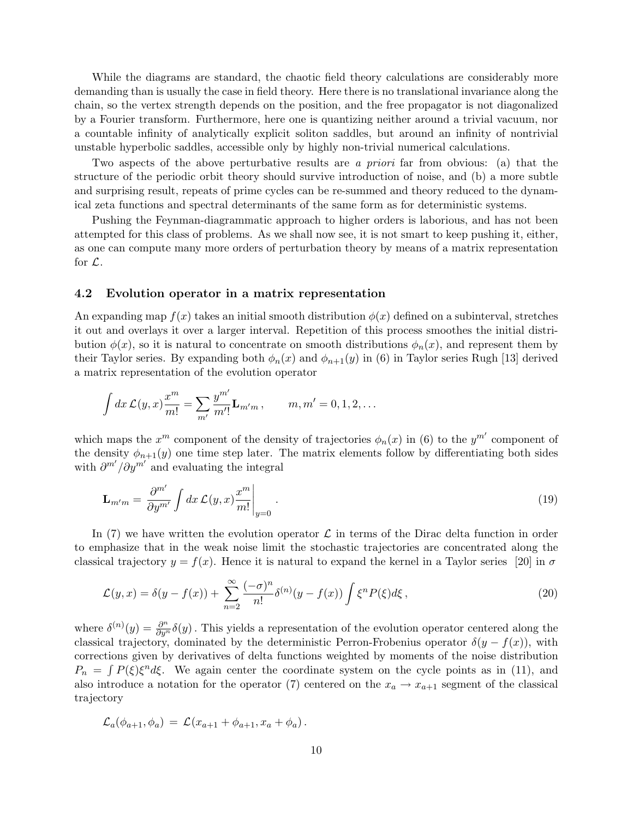While the diagrams are standard, the chaotic field theory calculations are considerably more demanding than is usually the case in field theory. Here there is no translational invariance along the chain, so the vertex strength depends on the position, and the free propagator is not diagonalized by a Fourier transform. Furthermore, here one is quantizing neither around a trivial vacuum, nor a countable infinity of analytically explicit soliton saddles, but around an infinity of nontrivial unstable hyperbolic saddles, accessible only by highly non-trivial numerical calculations.

Two aspects of the above perturbative results are a priori far from obvious: (a) that the structure of the periodic orbit theory should survive introduction of noise, and (b) a more subtle and surprising result, repeats of prime cycles can be re-summed and theory reduced to the dynamical zeta functions and spectral determinants of the same form as for deterministic systems.

Pushing the Feynman-diagrammatic approach to higher orders is laborious, and has not been attempted for this class of problems. As we shall now see, it is not smart to keep pushing it, either, as one can compute many more orders of perturbation theory by means of a matrix representation for  $\mathcal{L}$ .

#### 4.2 Evolution operator in a matrix representation

An expanding map  $f(x)$  takes an initial smooth distribution  $\phi(x)$  defined on a subinterval, stretches it out and overlays it over a larger interval. Repetition of this process smoothes the initial distribution  $\phi(x)$ , so it is natural to concentrate on smooth distributions  $\phi_n(x)$ , and represent them by their Taylor series. By expanding both  $\phi_n(x)$  and  $\phi_{n+1}(y)$  in (6) in Taylor series Rugh [13] derived a matrix representation of the evolution operator

$$
\int dx \, \mathcal{L}(y,x) \frac{x^m}{m!} = \sum_{m'} \frac{y^{m'}}{m'!} \mathbf{L}_{m'm} \,, \qquad m, m' = 0, 1, 2, \dots
$$

which maps the  $x^m$  component of the density of trajectories  $\phi_n(x)$  in (6) to the  $y^{m'}$  component of the density  $\phi_{n+1}(y)$  one time step later. The matrix elements follow by differentiating both sides with  $\frac{\partial^{m'} / \partial y^{m'}}{\partial n}$  and evaluating the integral

$$
\mathbf{L}_{m'm} = \frac{\partial^{m'}}{\partial y^{m'}} \int dx \, \mathcal{L}(y, x) \frac{x^m}{m!} \bigg|_{y=0} \,. \tag{19}
$$

In (7) we have written the evolution operator  $\mathcal L$  in terms of the Dirac delta function in order to emphasize that in the weak noise limit the stochastic trajectories are concentrated along the classical trajectory  $y = f(x)$ . Hence it is natural to expand the kernel in a Taylor series [20] in  $\sigma$ 

$$
\mathcal{L}(y,x) = \delta(y - f(x)) + \sum_{n=2}^{\infty} \frac{(-\sigma)^n}{n!} \delta^{(n)}(y - f(x)) \int \xi^n P(\xi) d\xi , \qquad (20)
$$

where  $\delta^{(n)}(y) = \frac{\partial^n}{\partial y^n} \delta(y)$ . This yields a representation of the evolution operator centered along the classical trajectory, dominated by the deterministic Perron-Frobenius operator  $\delta(y - f(x))$ , with corrections given by derivatives of delta functions weighted by moments of the noise distribution  $P_n = \int P(\xi) \xi^n d\xi$ . We again center the coordinate system on the cycle points as in (11), and also introduce a notation for the operator (7) centered on the  $x_a \rightarrow x_{a+1}$  segment of the classical trajectory

$$
\mathcal{L}_a(\phi_{a+1}, \phi_a) = \mathcal{L}(x_{a+1} + \phi_{a+1}, x_a + \phi_a).
$$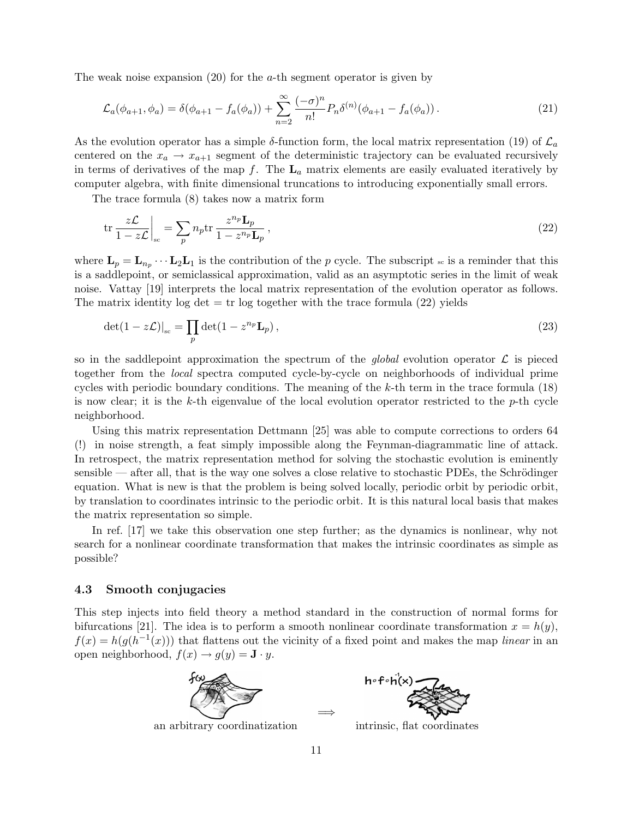The weak noise expansion  $(20)$  for the *a*-th segment operator is given by

$$
\mathcal{L}_a(\phi_{a+1}, \phi_a) = \delta(\phi_{a+1} - f_a(\phi_a)) + \sum_{n=2}^{\infty} \frac{(-\sigma)^n}{n!} P_n \delta^{(n)}(\phi_{a+1} - f_a(\phi_a)). \tag{21}
$$

As the evolution operator has a simple  $\delta$ -function form, the local matrix representation (19) of  $\mathcal{L}_a$ centered on the  $x_a \rightarrow x_{a+1}$  segment of the deterministic trajectory can be evaluated recursively in terms of derivatives of the map f. The  $L_a$  matrix elements are easily evaluated iteratively by computer algebra, with finite dimensional truncations to introducing exponentially small errors.

The trace formula (8) takes now a matrix form

$$
\text{tr}\,\frac{z\mathcal{L}}{1-z\mathcal{L}}\bigg|_{\text{sc}} = \sum_{p} n_p \text{tr}\,\frac{z^{n_p}\mathbf{L}_p}{1-z^{n_p}\mathbf{L}_p}\,,\tag{22}
$$

where  $\mathbf{L}_p = \mathbf{L}_{n_p} \cdots \mathbf{L}_2 \mathbf{L}_1$  is the contribution of the p cycle. The subscript se is a reminder that this is a saddlepoint, or semiclassical approximation, valid as an asymptotic series in the limit of weak noise. Vattay [19] interprets the local matrix representation of the evolution operator as follows. The matrix identity log det  $=$  tr log together with the trace formula (22) yields

$$
\det(1 - z\mathcal{L})|_{\rm sc} = \prod_p \det(1 - z^{n_p} \mathbf{L}_p),\tag{23}
$$

so in the saddlepoint approximation the spectrum of the *global* evolution operator  $\mathcal L$  is pieced together from the local spectra computed cycle-by-cycle on neighborhoods of individual prime cycles with periodic boundary conditions. The meaning of the k-th term in the trace formula (18) is now clear; it is the  $k$ -th eigenvalue of the local evolution operator restricted to the  $p$ -th cycle neighborhood.

Using this matrix representation Dettmann [25] was able to compute corrections to orders 64 (!) in noise strength, a feat simply impossible along the Feynman-diagrammatic line of attack. In retrospect, the matrix representation method for solving the stochastic evolution is eminently  $s$ ensible — after all, that is the way one solves a close relative to stochastic PDEs, the Schrödinger equation. What is new is that the problem is being solved locally, periodic orbit by periodic orbit, by translation to coordinates intrinsic to the periodic orbit. It is this natural local basis that makes the matrix representation so simple.

In ref. [17] we take this observation one step further; as the dynamics is nonlinear, why not search for a nonlinear coordinate transformation that makes the intrinsic coordinates as simple as possible?

#### 4.3 Smooth conjugacies

This step injects into field theory a method standard in the construction of normal forms for bifurcations [21]. The idea is to perform a smooth nonlinear coordinate transformation  $x = h(y)$ ,  $f(x) = h(g(h^{-1}(x)))$  that flattens out the vicinity of a fixed point and makes the map linear in an open neighborhood,  $f(x) \rightarrow g(y) = \mathbf{J} \cdot y$ .



an arbitrary coordinatization



intrinsic, flat coordinates

=⇒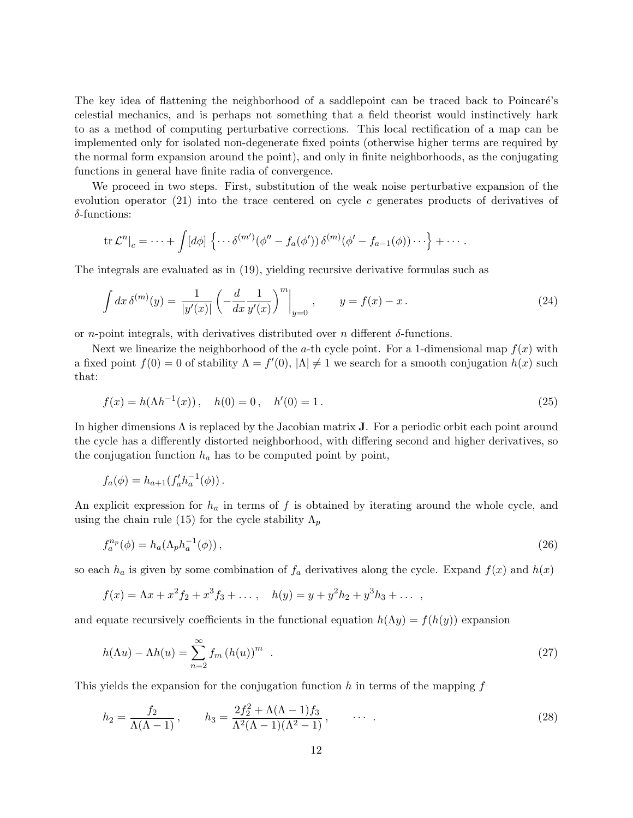The key idea of flattening the neighborhood of a saddlepoint can be traced back to Poincaré's celestial mechanics, and is perhaps not something that a field theorist would instinctively hark to as a method of computing perturbative corrections. This local rectification of a map can be implemented only for isolated non-degenerate fixed points (otherwise higher terms are required by the normal form expansion around the point), and only in finite neighborhoods, as the conjugating functions in general have finite radia of convergence.

We proceed in two steps. First, substitution of the weak noise perturbative expansion of the evolution operator  $(21)$  into the trace centered on cycle c generates products of derivatives of δ-functions:

$$
\operatorname{tr} \mathcal{L}^n|_c = \cdots + \int [d\phi] \left\{ \cdots \delta^{(m')}(\phi'' - f_a(\phi')) \, \delta^{(m)}(\phi' - f_{a-1}(\phi)) \cdots \right\} + \cdots
$$

The integrals are evaluated as in (19), yielding recursive derivative formulas such as

$$
\int dx \, \delta^{(m)}(y) = \frac{1}{|y'(x)|} \left( -\frac{d}{dx} \frac{1}{y'(x)} \right)^m \Big|_{y=0} , \qquad y = f(x) - x . \tag{24}
$$

or *n*-point integrals, with derivatives distributed over *n* different  $\delta$ -functions.

Next we linearize the neighborhood of the a-th cycle point. For a 1-dimensional map  $f(x)$  with a fixed point  $f(0) = 0$  of stability  $\Lambda = f'(0)$ ,  $|\Lambda| \neq 1$  we search for a smooth conjugation  $h(x)$  such that:

$$
f(x) = h(\Lambda h^{-1}(x)), \quad h(0) = 0, \quad h'(0) = 1.
$$
\n(25)

In higher dimensions  $\Lambda$  is replaced by the Jacobian matrix **J**. For a periodic orbit each point around the cycle has a differently distorted neighborhood, with differing second and higher derivatives, so the conjugation function  $h_a$  has to be computed point by point,

$$
f_a(\phi) = h_{a+1}(f'_a h_a^{-1}(\phi)).
$$

An explicit expression for  $h_a$  in terms of f is obtained by iterating around the whole cycle, and using the chain rule (15) for the cycle stability  $\Lambda_p$ 

$$
f_a^{n_p}(\phi) = h_a(\Lambda_p h_a^{-1}(\phi)), \qquad (26)
$$

so each  $h_a$  is given by some combination of  $f_a$  derivatives along the cycle. Expand  $f(x)$  and  $h(x)$ 

$$
f(x) = \Lambda x + x^2 f_2 + x^3 f_3 + \dots
$$
,  $h(y) = y + y^2 h_2 + y^3 h_3 + \dots$ ,

and equate recursively coefficients in the functional equation  $h(\Lambda y) = f(h(y))$  expansion

$$
h(\Lambda u) - \Lambda h(u) = \sum_{n=2}^{\infty} f_m (h(u))^m . \tag{27}
$$

This yields the expansion for the conjugation function h in terms of the mapping  $f$ 

$$
h_2 = \frac{f_2}{\Lambda(\Lambda - 1)}, \qquad h_3 = \frac{2f_2^2 + \Lambda(\Lambda - 1)f_3}{\Lambda^2(\Lambda - 1)(\Lambda^2 - 1)}, \qquad \cdots \qquad (28)
$$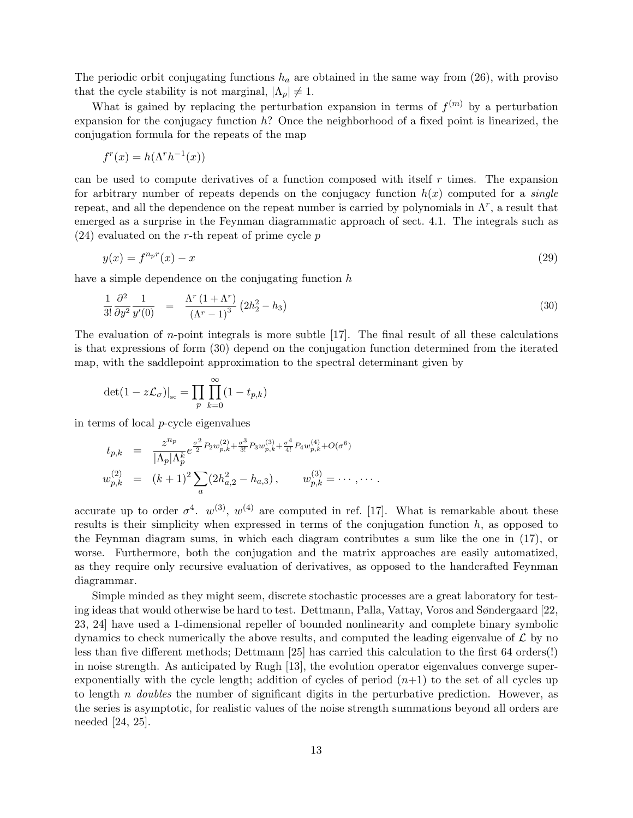The periodic orbit conjugating functions  $h_a$  are obtained in the same way from (26), with proviso that the cycle stability is not marginal,  $|\Lambda_p| \neq 1$ .

What is gained by replacing the perturbation expansion in terms of  $f^{(m)}$  by a perturbation expansion for the conjugacy function  $h$ ? Once the neighborhood of a fixed point is linearized, the conjugation formula for the repeats of the map

$$
f^r(x) = h(\Lambda^r h^{-1}(x))
$$

can be used to compute derivatives of a function composed with itself  $r$  times. The expansion for arbitrary number of repeats depends on the conjugacy function  $h(x)$  computed for a *single* repeat, and all the dependence on the repeat number is carried by polynomials in  $\Lambda^r$ , a result that emerged as a surprise in the Feynman diagrammatic approach of sect. 4.1. The integrals such as  $(24)$  evaluated on the r-th repeat of prime cycle p

$$
y(x) = f^{n_p r}(x) - x \tag{29}
$$

have a simple dependence on the conjugating function  $h$ 

$$
\frac{1}{3!} \frac{\partial^2}{\partial y^2} \frac{1}{y'(0)} = \frac{\Lambda^r (1 + \Lambda^r)}{(\Lambda^r - 1)^3} (2h_2^2 - h_3)
$$
\n(30)

The evaluation of  $n$ -point integrals is more subtle  $[17]$ . The final result of all these calculations is that expressions of form (30) depend on the conjugation function determined from the iterated map, with the saddlepoint approximation to the spectral determinant given by

$$
\det(1 - z\mathcal{L}_{\sigma})|_{\rm sc} = \prod_{p} \prod_{k=0}^{\infty} (1 - t_{p,k})
$$

in terms of local p-cycle eigenvalues

$$
t_{p,k} = \frac{z^{n_p}}{|\Lambda_p| \Lambda_p^k} e^{\frac{\sigma^2}{2} P_2 w_{p,k}^{(2)} + \frac{\sigma^3}{3!} P_3 w_{p,k}^{(3)} + \frac{\sigma^4}{4!} P_4 w_{p,k}^{(4)} + O(\sigma^6)}
$$
  

$$
w_{p,k}^{(2)} = (k+1)^2 \sum_a (2h_{a,2}^2 - h_{a,3}), \qquad w_{p,k}^{(3)} = \cdots, \cdots.
$$

accurate up to order  $\sigma^4$ .  $w^{(3)}$ ,  $w^{(4)}$  are computed in ref. [17]. What is remarkable about these results is their simplicity when expressed in terms of the conjugation function  $h$ , as opposed to the Feynman diagram sums, in which each diagram contributes a sum like the one in (17), or worse. Furthermore, both the conjugation and the matrix approaches are easily automatized, as they require only recursive evaluation of derivatives, as opposed to the handcrafted Feynman diagrammar.

Simple minded as they might seem, discrete stochastic processes are a great laboratory for testing ideas that would otherwise be hard to test. Dettmann, Palla, Vattay, Voros and Søndergaard [22, 23, 24] have used a 1-dimensional repeller of bounded nonlinearity and complete binary symbolic dynamics to check numerically the above results, and computed the leading eigenvalue of  $\mathcal L$  by no less than five different methods; Dettmann [25] has carried this calculation to the first 64 orders(!) in noise strength. As anticipated by Rugh [13], the evolution operator eigenvalues converge superexponentially with the cycle length; addition of cycles of period  $(n+1)$  to the set of all cycles up to length n *doubles* the number of significant digits in the perturbative prediction. However, as the series is asymptotic, for realistic values of the noise strength summations beyond all orders are needed [24, 25].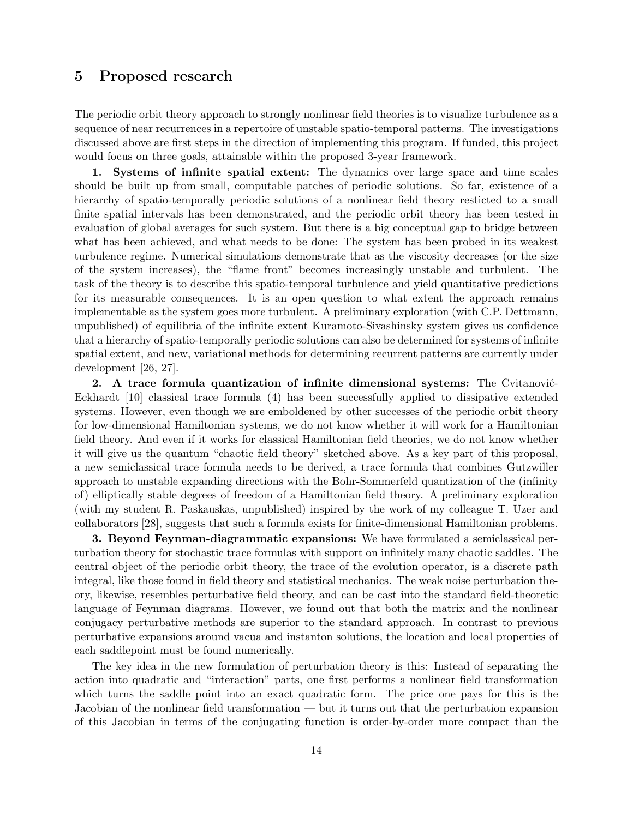# 5 Proposed research

The periodic orbit theory approach to strongly nonlinear field theories is to visualize turbulence as a sequence of near recurrences in a repertoire of unstable spatio-temporal patterns. The investigations discussed above are first steps in the direction of implementing this program. If funded, this project would focus on three goals, attainable within the proposed 3-year framework.

1. Systems of infinite spatial extent: The dynamics over large space and time scales should be built up from small, computable patches of periodic solutions. So far, existence of a hierarchy of spatio-temporally periodic solutions of a nonlinear field theory resticted to a small finite spatial intervals has been demonstrated, and the periodic orbit theory has been tested in evaluation of global averages for such system. But there is a big conceptual gap to bridge between what has been achieved, and what needs to be done: The system has been probed in its weakest turbulence regime. Numerical simulations demonstrate that as the viscosity decreases (or the size of the system increases), the "flame front" becomes increasingly unstable and turbulent. The task of the theory is to describe this spatio-temporal turbulence and yield quantitative predictions for its measurable consequences. It is an open question to what extent the approach remains implementable as the system goes more turbulent. A preliminary exploration (with C.P. Dettmann, unpublished) of equilibria of the infinite extent Kuramoto-Sivashinsky system gives us confidence that a hierarchy of spatio-temporally periodic solutions can also be determined for systems of infinite spatial extent, and new, variational methods for determining recurrent patterns are currently under development [26, 27].

2. A trace formula quantization of infinite dimensional systems: The Cvitanović-Eckhardt [10] classical trace formula (4) has been successfully applied to dissipative extended systems. However, even though we are emboldened by other successes of the periodic orbit theory for low-dimensional Hamiltonian systems, we do not know whether it will work for a Hamiltonian field theory. And even if it works for classical Hamiltonian field theories, we do not know whether it will give us the quantum "chaotic field theory" sketched above. As a key part of this proposal, a new semiclassical trace formula needs to be derived, a trace formula that combines Gutzwiller approach to unstable expanding directions with the Bohr-Sommerfeld quantization of the (infinity of) elliptically stable degrees of freedom of a Hamiltonian field theory. A preliminary exploration (with my student R. Paskauskas, unpublished) inspired by the work of my colleague T. Uzer and collaborators [28], suggests that such a formula exists for finite-dimensional Hamiltonian problems.

3. Beyond Feynman-diagrammatic expansions: We have formulated a semiclassical perturbation theory for stochastic trace formulas with support on infinitely many chaotic saddles. The central object of the periodic orbit theory, the trace of the evolution operator, is a discrete path integral, like those found in field theory and statistical mechanics. The weak noise perturbation theory, likewise, resembles perturbative field theory, and can be cast into the standard field-theoretic language of Feynman diagrams. However, we found out that both the matrix and the nonlinear conjugacy perturbative methods are superior to the standard approach. In contrast to previous perturbative expansions around vacua and instanton solutions, the location and local properties of each saddlepoint must be found numerically.

The key idea in the new formulation of perturbation theory is this: Instead of separating the action into quadratic and "interaction" parts, one first performs a nonlinear field transformation which turns the saddle point into an exact quadratic form. The price one pays for this is the Jacobian of the nonlinear field transformation — but it turns out that the perturbation expansion of this Jacobian in terms of the conjugating function is order-by-order more compact than the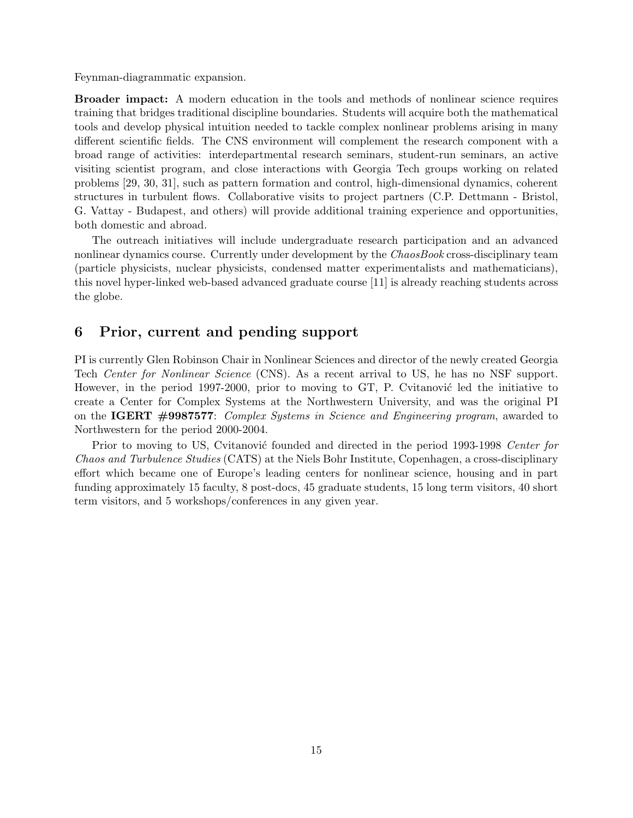Feynman-diagrammatic expansion.

Broader impact: A modern education in the tools and methods of nonlinear science requires training that bridges traditional discipline boundaries. Students will acquire both the mathematical tools and develop physical intuition needed to tackle complex nonlinear problems arising in many different scientific fields. The CNS environment will complement the research component with a broad range of activities: interdepartmental research seminars, student-run seminars, an active visiting scientist program, and close interactions with Georgia Tech groups working on related problems [29, 30, 31], such as pattern formation and control, high-dimensional dynamics, coherent structures in turbulent flows. Collaborative visits to project partners (C.P. Dettmann - Bristol, G. Vattay - Budapest, and others) will provide additional training experience and opportunities, both domestic and abroad.

The outreach initiatives will include undergraduate research participation and an advanced nonlinear dynamics course. Currently under development by the ChaosBook cross-disciplinary team (particle physicists, nuclear physicists, condensed matter experimentalists and mathematicians), this novel hyper-linked web-based advanced graduate course [11] is already reaching students across the globe.

### 6 Prior, current and pending support

PI is currently Glen Robinson Chair in Nonlinear Sciences and director of the newly created Georgia Tech Center for Nonlinear Science (CNS). As a recent arrival to US, he has no NSF support. However, in the period 1997-2000, prior to moving to  $GT$ , P. Cvitanović led the initiative to create a Center for Complex Systems at the Northwestern University, and was the original PI on the IGERT #9987577: Complex Systems in Science and Engineering program, awarded to Northwestern for the period 2000-2004.

Prior to moving to US, Cvitanović founded and directed in the period 1993-1998 Center for Chaos and Turbulence Studies (CATS) at the Niels Bohr Institute, Copenhagen, a cross-disciplinary effort which became one of Europe's leading centers for nonlinear science, housing and in part funding approximately 15 faculty, 8 post-docs, 45 graduate students, 15 long term visitors, 40 short term visitors, and 5 workshops/conferences in any given year.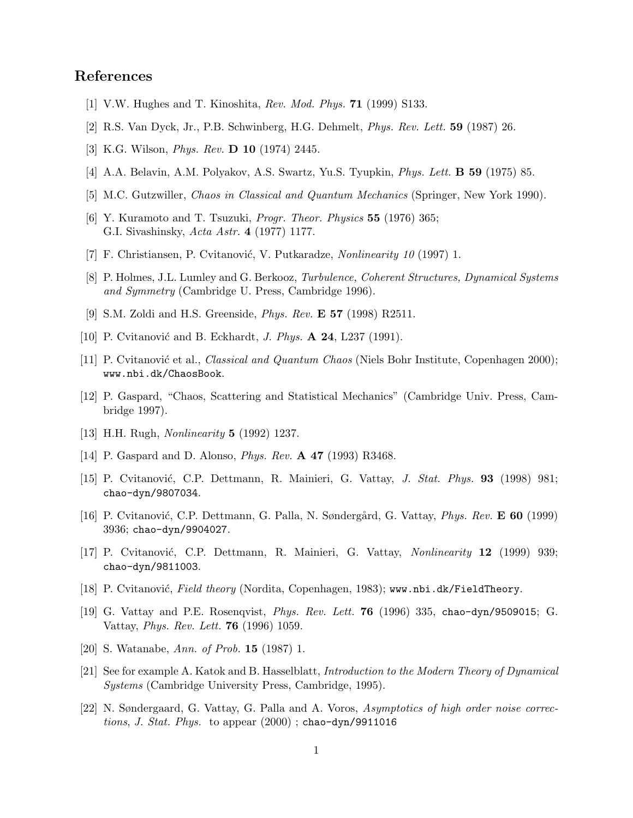## References

- [1] V.W. Hughes and T. Kinoshita, Rev. Mod. Phys. 71 (1999) S133.
- [2] R.S. Van Dyck, Jr., P.B. Schwinberg, H.G. Dehmelt, Phys. Rev. Lett. 59 (1987) 26.
- [3] K.G. Wilson, Phys. Rev. D 10 (1974) 2445.
- [4] A.A. Belavin, A.M. Polyakov, A.S. Swartz, Yu.S. Tyupkin, Phys. Lett. B 59 (1975) 85.
- [5] M.C. Gutzwiller, Chaos in Classical and Quantum Mechanics (Springer, New York 1990).
- [6] Y. Kuramoto and T. Tsuzuki, Progr. Theor. Physics 55 (1976) 365; G.I. Sivashinsky, Acta Astr. 4 (1977) 1177.
- [7] F. Christiansen, P. Cvitanović, V. Putkaradze, Nonlinearity 10 (1997) 1.
- [8] P. Holmes, J.L. Lumley and G. Berkooz, Turbulence, Coherent Structures, Dynamical Systems and Symmetry (Cambridge U. Press, Cambridge 1996).
- [9] S.M. Zoldi and H.S. Greenside, Phys. Rev. E 57 (1998) R2511.
- [10] P. Cvitanović and B. Eckhardt, *J. Phys.*  $\bf{A}$  **24**, L237 (1991).
- [11] P. Cvitanović et al., *Classical and Quantum Chaos* (Niels Bohr Institute, Copenhagen 2000); www.nbi.dk/ChaosBook.
- [12] P. Gaspard, "Chaos, Scattering and Statistical Mechanics" (Cambridge Univ. Press, Cambridge 1997).
- [13] H.H. Rugh, Nonlinearity 5 (1992) 1237.
- [14] P. Gaspard and D. Alonso, *Phys. Rev.* **A 47** (1993) R3468.
- [15] P. Cvitanović, C.P. Dettmann, R. Mainieri, G. Vattay, *J. Stat. Phys.* **93** (1998) 981; chao-dyn/9807034.
- [16] P. Cvitanović, C.P. Dettmann, G. Palla, N. Søndergård, G. Vattay, Phys. Rev. E 60 (1999) 3936; chao-dyn/9904027.
- [17] P. Cvitanović, C.P. Dettmann, R. Mainieri, G. Vattay, *Nonlinearity* 12 (1999) 939; chao-dyn/9811003.
- [18] P. Cvitanović, Field theory (Nordita, Copenhagen, 1983); www.nbi.dk/FieldTheory.
- [19] G. Vattay and P.E. Rosenqvist, Phys. Rev. Lett. 76 (1996) 335, chao-dyn/9509015; G. Vattay, Phys. Rev. Lett. 76 (1996) 1059.
- [20] S. Watanabe, Ann. of Prob. 15 (1987) 1.
- [21] See for example A. Katok and B. Hasselblatt, Introduction to the Modern Theory of Dynamical Systems (Cambridge University Press, Cambridge, 1995).
- [22] N. Søndergaard, G. Vattay, G. Palla and A. Voros, Asymptotics of high order noise corrections, J. Stat. Phys. to appear  $(2000)$ ; chao-dyn/9911016